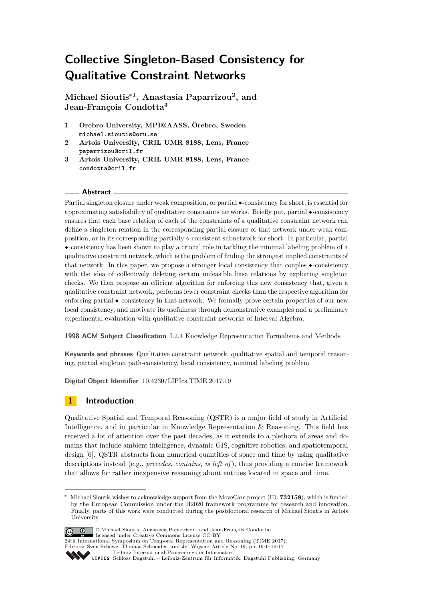# **Collective Singleton-Based Consistency for Qualitative Constraint Networks**

**Michael Sioutis**<sup>∗</sup>**<sup>1</sup> , Anastasia Paparrizou<sup>2</sup> , and Jean-François Condotta<sup>3</sup>**

- **1 Örebro University, MPI@AASS, Örebro, Sweden michael.sioutis@oru.se**
- **2 Artois University, CRIL UMR 8188, Lens, France paparrizou@cril.fr**
- **3 Artois University, CRIL UMR 8188, Lens, France condotta@cril.fr**

### **Abstract**

Partial singleton closure under weak composition, or partial ◆-consistency for short, is essential for approximating satisfiability of qualitative constraints networks. Briefly put, partial ◆-consistency ensures that each base relation of each of the constraints of a qualitative constraint network can define a singleton relation in the corresponding partial closure of that network under weak composition, or in its corresponding partially  $\circ$ -consistent subnetwork for short. In particular, partial ◆-consistency has been shown to play a crucial role in tackling the minimal labeling problem of a qualitative constraint network, which is the problem of finding the strongest implied constraints of that network. In this paper, we propose a stronger local consistency that couples ◆-consistency with the idea of collectively deleting certain unfeasible base relations by exploiting singleton checks. We then propose an efficient algorithm for enforcing this new consistency that, given a qualitative constraint network, performs fewer constraint checks than the respective algorithm for enforcing partial ◆-consistency in that network. We formally prove certain properties of our new local consistency, and motivate its usefulness through demonstrative examples and a preliminary experimental evaluation with qualitative constraint networks of Interval Algebra.

**1998 ACM Subject Classification** I.2.4 Knowledge Representation Formalisms and Methods

**Keywords and phrases** Qualitative constraint network, qualitative spatial and temporal reasoning, partial singleton path-consistency, local consistency, minimal labeling problem

**Digital Object Identifier** [10.4230/LIPIcs.TIME.2017.19](http://dx.doi.org/10.4230/LIPIcs.TIME.2017.19)

### **1 Introduction**

Qualitative Spatial and Temporal Reasoning (QSTR) is a major field of study in Artificial Intelligence, and in particular in Knowledge Representation & Reasoning. This field has received a lot of attention over the past decades, as it extends to a plethora of areas and domains that include ambient intelligence, dynamic GIS, cognitive robotics, and spatiotemporal design [\[6\]](#page-15-0). QSTR abstracts from numerical quantities of space and time by using qualitative descriptions instead (e.g., *precedes*, *contains*, *is left of*), thus providing a concise framework that allows for rather inexpensive reasoning about entities located in space and time.

<sup>∗</sup> Michael Sioutis wishes to acknowledge support from the MoveCare project (ID: **732158**), which is funded by the European Commission under the H2020 framework programme for research and innovation. Finally, parts of this work were conducted during the postdoctoral research of Michael Sioutis in Artois University.



© Michael Sioutis, Anastasia Paparrizou, and Jean-François Condotta; licensed under Creative Commons License CC-BY

24th International Symposium on Temporal Representation and Reasoning (TIME 2017). Editors: Sven Schewe, Thomas Schneider, and Jef Wijsen; Article No. 19; pp. 19:1–19[:17](#page-16-0)

[Leibniz International Proceedings in Informatics](http://www.dagstuhl.de/lipics/)

Leibniz international Floretungs in missimosische Publishing, Germany<br>LIPICS [Schloss Dagstuhl – Leibniz-Zentrum für Informatik, Dagstuhl Publishing, Germany](http://www.dagstuhl.de)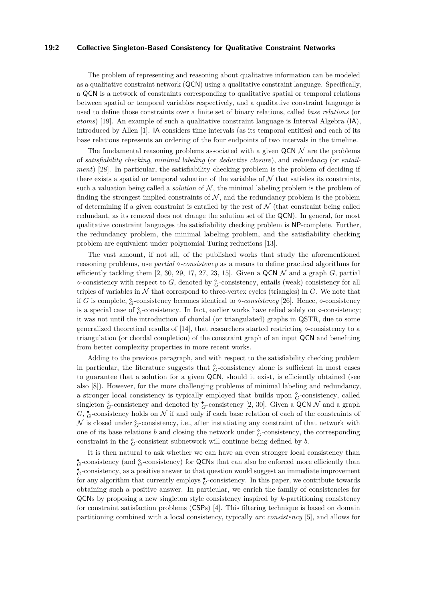### **19:2 Collective Singleton-Based Consistency for Qualitative Constraint Networks**

The problem of representing and reasoning about qualitative information can be modeled as a qualitative constraint network (QCN) using a qualitative constraint language. Specifically, a QCN is a network of constraints corresponding to qualitative spatial or temporal relations between spatial or temporal variables respectively, and a qualitative constraint language is used to define those constraints over a finite set of binary relations, called *base relations* (or *atoms*) [\[19\]](#page-16-1). An example of such a qualitative constraint language is Interval Algebra (IA), introduced by Allen [\[1\]](#page-15-1). IA considers time intervals (as its temporal entities) and each of its base relations represents an ordering of the four endpoints of two intervals in the timeline.

The fundamental reasoning problems associated with a given  $QCN\mathcal{N}$  are the problems of *satisfiability checking*, *minimal labeling* (or *deductive closure*), and *redundancy* (or *entailment*) [\[28\]](#page-16-2). In particular, the satisfiability checking problem is the problem of deciding if there exists a spatial or temporal valuation of the variables of  $\mathcal N$  that satisfies its constraints, such a valuation being called a *solution* of  $N$ , the minimal labeling problem is the problem of finding the strongest implied constraints of  $N$ , and the redundancy problem is the problem of determining if a given constraint is entailed by the rest of  $N$  (that constraint being called redundant, as its removal does not change the solution set of the QCN). In general, for most qualitative constraint languages the satisfiability checking problem is NP-complete. Further, the redundancy problem, the minimal labeling problem, and the satisfiability checking problem are equivalent under polynomial Turing reductions [\[13\]](#page-15-2).

The vast amount, if not all, of the published works that study the aforementioned reasoning problems, use *partial -consistency* as a means to define practical algorithms for efficiently tackling them  $[2, 30, 29, 17, 27, 23, 15]$  $[2, 30, 29, 17, 27, 23, 15]$  $[2, 30, 29, 17, 27, 23, 15]$  $[2, 30, 29, 17, 27, 23, 15]$  $[2, 30, 29, 17, 27, 23, 15]$  $[2, 30, 29, 17, 27, 23, 15]$  $[2, 30, 29, 17, 27, 23, 15]$  $[2, 30, 29, 17, 27, 23, 15]$  $[2, 30, 29, 17, 27, 23, 15]$  $[2, 30, 29, 17, 27, 23, 15]$  $[2, 30, 29, 17, 27, 23, 15]$  $[2, 30, 29, 17, 27, 23, 15]$  $[2, 30, 29, 17, 27, 23, 15]$ . Given a QCN  $\mathcal N$  and a graph  $G$ , partial  $\infty$ -consistency with respect to *G*, denoted by  $^{\diamond}_{G}$ -consistency, entails (weak) consistency for all triples of variables in  $\mathcal N$  that correspond to three-vertex cycles (triangles) in  $G$ . We note that if *G* is complete,  ${}_{G}^{\circ}$ -consistency becomes identical to  $\diamond$ -*consistency* [\[26\]](#page-16-8). Hence,  $\diamond$ -consistency is a special case of  $^{\circ}_{G}$ -consistency. In fact, earlier works have relied solely on  $\diamond$ -consistency; it was not until the introduction of chordal (or triangulated) graphs in QSTR, due to some generalized theoretical results of [\[14\]](#page-15-5), that researchers started restricting  $\sim$ consistency to a triangulation (or chordal completion) of the constraint graph of an input QCN and benefiting from better complexity properties in more recent works.

Adding to the previous paragraph, and with respect to the satisfiability checking problem in particular, the literature suggests that  $^{\circ}_{G}$ -consistency alone is sufficient in most cases to guarantee that a solution for a given QCN, should it exist, is efficiently obtained (see also [\[8\]](#page-15-6)). However, for the more challenging problems of minimal labeling and redundancy, a stronger local consistency is typically employed that builds upon  $^{\circ}_{G}$ -consistency, called singleton  $^{\circ}_{G}$ -consistency and denoted by  $^{\bullet}_{G}$ -consistency [\[2,](#page-15-3) [30\]](#page-16-3). Given a QCN  $\mathcal N$  and a graph  $G, \, \mathcal{C}$ -consistency holds on  $\mathcal N$  if and only if each base relation of each of the constraints of  $\mathcal N$  is closed under  $^{\circ}_{G}$ -consistency, i.e., after instatiating any constraint of that network with one of its base relations  $b$  and closing the network under  $^{\diamond}_{G}$ -consistency, the corresponding constraint in the  $^{\circ}_{G}$ -consistent subnetwork will continue being defined by *b*.

It is then natural to ask whether we can have an even stronger local consistency than  $\bullet$ <sub>*G*</sub>-consistency (and  $\circ$ <sub>*G*</sub>-consistency) for QCNs that can also be enforced more efficiently than  $_{G}^{\bullet}$ -consistency, as a positive answer to that question would suggest an immediate improvement for any algorithm that currently employs  $\zeta$ -consistency. In this paper, we contribute towards obtaining such a positive answer. In particular, we enrich the family of consistencies for QCNs by proposing a new singleton style consistency inspired by *k*-partitioning consistency for constraint satisfaction problems (CSPs) [\[4\]](#page-15-7). This filtering technique is based on domain partitioning combined with a local consistency, typically *arc consistency* [\[5\]](#page-15-8), and allows for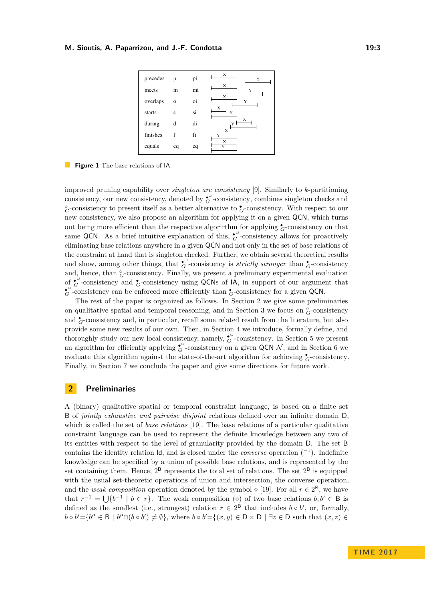<span id="page-2-1"></span>

**Figure 1** The base relations of IA.

improved pruning capability over *singleton arc consistency* [\[9\]](#page-15-9). Similarly to *k*-partitioning consistency, our new consistency, denoted by  $\mathcal{C}^{\cup}$ -consistency, combines singleton checks and  $G^{\circ}$ -consistency to present itself as a better alternative to  $\bullet$ -consistency. With respect to our new consistency, we also propose an algorithm for applying it on a given QCN, which turns out being more efficient than the respective algorirthm for applying  $\zeta$ -consistency on that same QCN. As a brief intuitive explanation of this,  $\zeta$ <sup>U</sup> consistency allows for proactively eliminating base relations anywhere in a given QCN and not only in the set of base relations of the constraint at hand that is singleton checked. Further, we obtain several theoretical results and show, among other things, that  $\overset{\bullet}{G}$ -consistency is *strictly stronger* than  $\overset{\bullet}{G}$ -consistency and, hence, than  $^{\circ}_{G}$ -consistency. Finally, we present a preliminary experimental evaluation of  $\sigma$ -consistency and  $\sigma$ -consistency using QCNs of IA, in support of our argument that  $\mathcal{E}_{G}^{\cup}$ -consistency can be enforced more efficiently than  $\mathcal{E}_{G}$ -consistency for a given QCN.

The rest of the paper is organized as follows. In Section [2](#page-2-0) we give some preliminaries on qualitative spatial and temporal reasoning, and in Section [3](#page-5-0) we focus on  $^{\circ}_{G}$ -consistency and  $\zeta$ -consistency and, in particular, recall some related result from the literature, but also provide some new results of our own. Then, in Section [4](#page-7-0) we introduce, formally define, and thoroughly study our new local consistency, namely,  $\overset{\bullet}{G}$ -consistency. In Section [5](#page-10-0) we present an algorithm for efficiently applying  $\mathcal{L}_G^{\cup}$ -consistency on a given QCN N, and in Section [6](#page-13-0) we evaluate this algorithm against the state-of-the-art algorithm for achieving  $\zeta$ -consistency. Finally, in Section [7](#page-14-0) we conclude the paper and give some directions for future work.

### <span id="page-2-0"></span>**2 Preliminaries**

A (binary) qualitative spatial or temporal constraint language, is based on a finite set B of *jointly exhaustive and pairwise disjoint* relations defined over an infinite domain D, which is called the set of *base relations* [\[19\]](#page-16-1). The base relations of a particular qualitative constraint language can be used to represent the definite knowledge between any two of its entities with respect to the level of granularity provided by the domain D. The set B contains the identity relation Id, and is closed under the *converse* operation (<sup>−</sup><sup>1</sup> ). Indefinite knowledge can be specified by a union of possible base relations, and is represented by the set containing them. Hence,  $2^B$  represents the total set of relations. The set  $2^B$  is equipped with the usual set-theoretic operations of union and intersection, the converse operation, and the *weak composition* operation denoted by the symbol  $\diamond$  [\[19\]](#page-16-1). For all  $r \in 2^8$ , we have that  $r^{-1} = \bigcup \{b^{-1} \mid b \in r\}$ . The weak composition ( $\diamond$ ) of two base relations  $b, b' \in \mathsf{B}$  is defined as the smallest (i.e., strongest) relation  $r \in 2^B$  that includes  $b \circ b'$ , or, formally,  $b \diamond b' = \{b'' \in \mathsf{B} \mid b'' \cap (b \circ b') \neq \emptyset\}$ , where  $b \circ b' = \{(x, y) \in \mathsf{D} \times \mathsf{D} \mid \exists z \in \mathsf{D} \text{ such that } (x, z) \in \mathsf{D} \}$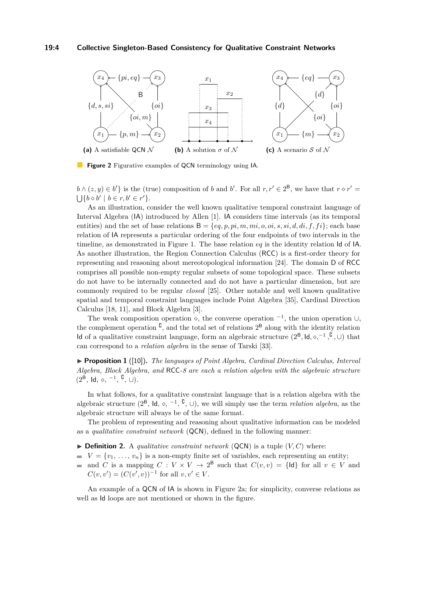### **19:4 Collective Singleton-Based Consistency for Qualitative Constraint Networks**

<span id="page-3-0"></span>

**Figure 2** Figurative examples of QCN terminology using IA.

 $b \wedge (z, y) \in b'$  is the (true) composition of *b* and *b*'. For all  $r, r' \in 2^B$ , we have that  $r \circ r' =$  $\bigcup \{b \diamond b' \mid b \in r, b' \in r'\}.$ 

As an illustration, consider the well known qualitative temporal constraint language of Interval Algebra (IA) introduced by Allen [\[1\]](#page-15-1). IA considers time intervals (as its temporal entities) and the set of base relations  $B = \{eq, p, pi, m, mi, o,oi, s, si, d, di, f, fi\}$ ; each base relation of IA represents a particular ordering of the four endpoints of two intervals in the timeline, as demonstrated in Figure [1.](#page-2-1) The base relation *eq* is the identity relation Id of IA. As another illustration, the Region Connection Calculus (RCC) is a first-order theory for representing and reasoning about mereotopological information [\[24\]](#page-16-9). The domain D of RCC comprises all possible non-empty regular subsets of some topological space. These subsets do not have to be internally connected and do not have a particular dimension, but are commonly required to be regular *closed* [\[25\]](#page-16-10). Other notable and well known qualitative spatial and temporal constraint languages include Point Algebra [\[35\]](#page-16-11), Cardinal Direction Calculus [\[18,](#page-16-12) [11\]](#page-15-10), and Block Algebra [\[3\]](#page-15-11).

The weak composition operation  $\diamond$ , the converse operation  $^{-1}$ , the union operation  $\cup$ , the complement operation  $\mathfrak{c}$ , and the total set of relations  $2^{\mathsf{B}}$  along with the identity relation Id of a qualitative constraint language, form an algebraic structure  $(2^B, \text{Id}, \diamond, ^{-1}, ^{\complement}, \cup)$  that can correspond to a *relation algebra* in the sense of Tarski [\[33\]](#page-16-13).

<span id="page-3-1"></span>▶ **Proposition 1** ([\[10\]](#page-15-12)). *The languages of Point Algebra, Cardinal Direction Calculus, Interval Algebra, Block Algebra, and* RCC*-8 are each a relation algebra with the algebraic structure*  $(2^{\bar{B}}, \text{Id}, \diamond, -1, \cdot, \cdot)$ .

In what follows, for a qualitative constraint language that is a relation algebra with the algebraic structure  $(2^B, \text{ Id}, \diamond, -1, \cdot^C, \cup)$ , we will simply use the term *relation algebra*, as the algebraic structure will always be of the same format.

The problem of representing and reasoning about qualitative information can be modeled as a *qualitative constraint network* (QCN), defined in the following manner:

- $\triangleright$  **Definition 2.** A *qualitative constraint network* (QCN) is a tuple  $(V, C)$  where:
- $V = \{v_1, \ldots, v_n\}$  is a non-empty finite set of variables, each representing an entity;
- and *C* is a mapping  $C: V \times V \to 2^B$  such that  $C(v, v) = \{d\}$  for all  $v \in V$  and  $C(v, v') = (C(v', v))^{-1}$  for all  $v, v' \in V$ .

An example of a QCN of IA is shown in Figure [2a;](#page-3-0) for simplicity, converse relations as well as Id loops are not mentioned or shown in the figure.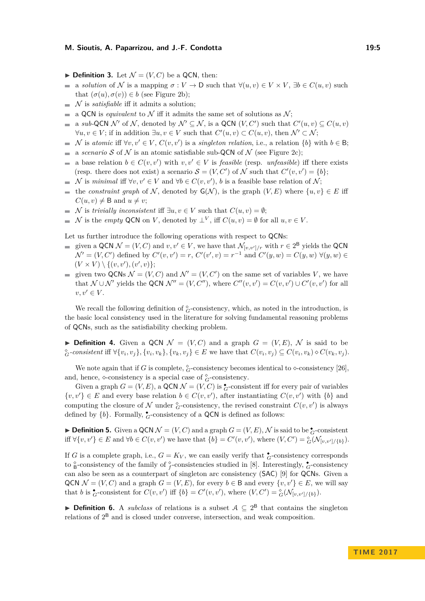- $\blacktriangleright$  **Definition 3.** Let  $\mathcal{N} = (V, C)$  be a QCN, then:
- a *solution* of N is a mapping  $\sigma: V \to \mathcal{D}$  such that  $\forall (u, v) \in V \times V$ ,  $\exists b \in C(u, v)$  such  $\overline{\phantom{a}}$ that  $(\sigma(u), \sigma(v)) \in b$  (see Figure [2b\)](#page-3-0);
- N is *satisfiable* iff it admits a solution;  $\rightarrow$
- a QCN is *equivalent* to  $\mathcal N$  iff it admits the same set of solutions as  $\mathcal N$ ;  $\overline{a}$
- a *sub*-QCN  $\mathcal{N}'$  of  $\mathcal{N}$ , denoted by  $\mathcal{N}' \subseteq \mathcal{N}$ , is a QCN  $(V, C')$  such that  $C'(u, v) \subseteq C(u, v)$  $\forall u, v \in V$ ; if in addition  $\exists u, v \in V$  such that  $C'(u, v) \subset C(u, v)$ , then  $\mathcal{N}' \subset \mathcal{N}$ ;
- N is *atomic* iff  $\forall v, v' \in V$ ,  $C(v, v')$  is a *singleton relation*, i.e., a relation  $\{b\}$  with  $b \in \mathsf{B}$ ;  $\mathbf{r}$
- a *scenario* S of N is an atomic satisfiable sub-QCN of N (see Figure [2c\)](#page-3-0);  $\overline{\phantom{a}}$
- a base relation  $b \in C(v, v')$  with  $v, v' \in V$  is *feasible* (resp. *unfeasible*) iff there exists  $\rightarrow$ (resp. there does not exist) a scenario  $S = (V, C')$  of N such that  $C'(v, v') = \{b\};$
- N is *minimal* iff  $\forall v, v' \in V$  and  $\forall b \in C(v, v')$ , *b* is a feasible base relation of N;
- the *constraint graph* of N, denoted by  $G(N)$ , is the graph  $(V, E)$  where  $\{u, v\} \in E$  iff  $C(u, v) \neq B$  and  $u \neq v$ ;
- $\blacksquare$  N is *trivially inconsistent* iff  $\exists u, v \in V$  such that  $C(u, v) = \emptyset$ ;
- N is the *empty* QCN on V, denoted by  $\perp^V$ , iff  $C(u, v) = \emptyset$  for all  $u, v \in V$ .

Let us further introduce the following operations with respect to QCNs:

- given a QCN  $\mathcal{N} = (V, C)$  and  $v, v' \in V$ , we have that  $\mathcal{N}_{[v, v'/r]}$  with  $r \in 2^B$  yields the QCN  $\mathcal{N}' = (V, C')$  defined by  $C'(v, v') = r$ ,  $C'(v', v) = r^{-1}$  and  $C'(y, w) = C(y, w) \ \forall (y, w) \in$  $(V \times V) \setminus \{(v, v'), (v', v)\};$
- given two QCNs  $\mathcal{N} = (V, C)$  and  $\mathcal{N}' = (V, C')$  on the same set of variables *V*, we have that  $\mathcal{N} \cup \mathcal{N}'$  yields the QCN  $\mathcal{N}'' = (V, C'')$ , where  $C''(v, v') = C(v, v') \cup C'(v, v')$  for all  $v, v' \in V$ .

We recall the following definition of  $^{\circ}_{G}$ -consistency, which, as noted in the introduction, is the basic local consistency used in the literature for solving fundamental reasoning problems of QCNs, such as the satisfiability checking problem.

**Definition 4.** Given a QCN  $\mathcal{N} = (V, C)$  and a graph  $G = (V, E)$ ,  $\mathcal{N}$  is said to be  ${}^{\diamond}_{G}$ -consistent iff  $\forall \{v_i, v_j\}, \{v_i, v_k\}, \{v_k, v_j\} \in E$  we have that  $C(v_i, v_j) \subseteq C(v_i, v_k) \diamond C(v_k, v_j)$ .

We note again that if *G* is complete,  ${}_{G}^{\circ}$ -consistency becomes identical to  $\diamond$ -consistency [\[26\]](#page-16-8), and, hence,  $\diamond$ -consistency is a special case of  $^{\diamond}_{G}$ -consistency.

Given a graph  $G = (V, E)$ , a QCN  $\mathcal{N} = (V, C)$  is  $_G^{\bullet}$ -consistent iff for every pair of variables  $\{v, v'\} \in E$  and every base relation  $b \in C(v, v')$ , after instantiating  $C(v, v')$  with  $\{b\}$  and computing the closure of  $N$  under  $^{\circ}_{G}$ -consistency, the revised constraint  $C(v, v')$  is always defined by  ${b}$ . Formally,  ${}_{G}^{\bullet}$ -consistency of a QCN is defined as follows:

▶ **Definition 5.** Given a QCN  $\mathcal{N} = (V, C)$  and a graph  $G = (V, E)$ ,  $\mathcal{N}$  is said to be  $\overset{\bullet}{G}$ -consistent iff  $\forall \{v, v'\} \in E$  and  $\forall b \in C(v, v')$  we have that  $\{b\} = C'(v, v')$ , where  $(V, C') = \frac{\delta}{G}(\mathcal{N}_{[v, v'] / \{b\}})$ .

If *G* is a complete graph, i.e.,  $G = K_V$ , we can easily verify that  $\zeta$ -consistency corresponds to  $\frac{6}{6}$ -consistency of the family of  $\frac{6}{f}$ -consistencies studied in [\[8\]](#page-15-6). Interestingly,  $\frac{1}{G}$ -consistency can also be seen as a counterpart of singleton arc consistency (SAC) [\[9\]](#page-15-9) for QCNs. Given a QCN  $\mathcal{N} = (V, C)$  and a graph  $G = (V, E)$ , for every  $b \in \mathcal{B}$  and every  $\{v, v'\} \in E$ , we will say that *b* is  ${}_{G}^{\bullet}$ -consistent for  $C(v, v')$  iff  $\{b\} = C'(v, v')$ , where  $(V, C') = {}_{G}^{\diamond}(\mathcal{N}_{[v, v'] / \{b\}})$ .

**Definition 6.** A *subclass* of relations is a subset  $A ⊆ 2<sup>B</sup>$  that contains the singleton relations of  $2^B$  and is closed under converse, intersection, and weak composition.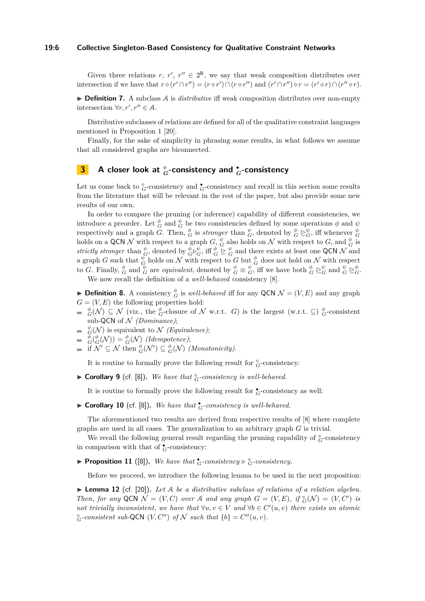### **19:6 Collective Singleton-Based Consistency for Qualitative Constraint Networks**

Given three relations *r*,  $r'$ ,  $r'' \in 2^B$ , we say that weak composition distributes over intersection if we have that  $r \circ (r' \cap r'') = (r \circ r') \cap (r \circ r'')$  and  $(r' \cap r'') \circ r = (r' \circ r) \cap (r'' \circ r)$ .

▶ **Definition 7.** A subclass A is *distributive* iff weak composition distributes over non-empty intersection  $\forall r, r', r'' \in \mathcal{A}$ .

Distributive subclasses of relations are defined for all of the qualitative constraint languages mentioned in Proposition [1](#page-3-1) [\[20\]](#page-16-14).

Finally, for the sake of simplicity in phrasing some results, in what follows we assume that all considered graphs are biconnected.

### <span id="page-5-0"></span>**3 A** closer look at  $_{G}^{\circ}$ -consistency and  $_{G}^{\bullet}$ -consistency

Let us come back to  $^{\circ}_{G}$ -consistency and  $^{\bullet}_{G}$ -consistency and recall in this section some results from the literature that will be relevant in the rest of the paper, but also provide some new results of our own.

In order to compare the pruning (or inference) capability of different consistencies, we introduce a preorder. Let  $\frac{\phi}{G}$  and  $\frac{\psi}{G}$  be two consistencies defined by some operations  $\phi$  and  $\psi$ respectively and a graph  $\tilde{G}$ . Then,  $\phi_G^{\phi}$  is *stronger* than  $\phi_G^{\phi}$ , denoted by  $\phi_G^{\phi} \geq_G^{\psi}$ , iff whenever  $\phi_G^{\phi}$ holds on a QCN N with respect to a graph  $G$ ,  $\frac{\psi}{G}$  also holds on N with respect to  $G$ , and  $\frac{\phi}{G}$  is *strictly stronger* than  $\frac{\psi}{G}$ , denoted by  $\phi_G^{\psi} \triangleright \psi_G^{\psi}$ , iff  $\phi \trianglerighteq \psi_G^{\psi}$  and there exists at least one QCN N and a graph *G* such that  $\frac{\psi}{G}$  holds on N with respect to *G* but  $\frac{\phi}{G}$  does not hold on N with respect to G. Finally,  $_{G}^{\phi}$  and  $_{G}^{\psi}$  are *equivalent*, denoted by  $_{G}^{\phi} \equiv_{G}^{\psi}$ , iff we have both  $_{G}^{\phi} \succeq_{G}^{\psi}$  and  $_{G}^{\psi} \succeq_{G}^{\phi}$ .

We now recall the definition of a *well-behaved* consistency [\[8\]](#page-15-6).

**Definition 8.** A consistency  $\phi_G^{\phi}$  is *well-behaved* iff for any QCN  $\mathcal{N} = (V, E)$  and any graph  $G = (V, E)$  the following properties hold:

- $^{\phi}_G(\mathcal{N}) \subseteq \mathcal{N}$  (viz., the  $^{\phi}_G$ -closure of N w.r.t. *G*) is the largest (w.r.t.  $\subseteq$ )  $^{\phi}_G$ -consistent sub-QCN of  $N$  *(Dominance)*;
- $\phi_G^{\phi}(\mathcal{N})$  is equivalent to  $\mathcal{N}$  *(Equivalence)*;<br>  $G^{\phi}(G(\mathcal{N})) = G^{\phi}(\mathcal{N})$  *(Idempotence)*;
- 
- if  $\mathcal{N}' \subseteq \mathcal{N}$  then  $^{\phi}_{G}(\mathcal{N}') \subseteq {}^{\phi}_{G}(\mathcal{N})$  *(Monotonicity).*

It is routine to formally prove the following result for  $^{\circ}_{G}$ -consistency:

**Corollary 9** (cf. [\[8\]](#page-15-6)). We have that  $\frac{\circ}{G}$ -consistency is well-behaved.

It is routine to formally prove the following result for  $\frac{1}{G}$ -consistency as well:

 $\blacktriangleright$  **Corollary 10** (cf. [\[8\]](#page-15-6)). We have that  $\mathbf{\hat{G}}$ -consistency is well-behaved.

The aforementioned two results are derived from respective results of [\[8\]](#page-15-6) where complete graphs are used in all cases. The generalization to an arbitrary graph *G* is trivial.

We recall the following general result regarding the pruning capability of  $^{\circ}_{G}$ -consistency in comparison with that of  $\zeta$ -consistency:

<span id="page-5-2"></span>▶ **Proposition 11** ([\[8\]](#page-15-6)). We have that  $\mathbf{\hat{G}}$ -consistency  $\triangleright$   $\mathbf{\hat{G}}$ -consistency.

Before we proceed, we introduce the following lemma to be used in the next proposition:

<span id="page-5-1"></span> $\triangleright$  **Lemma 12** (cf. [\[20\]](#page-16-14)). Let A be a distributive subclass of relations of a relation algebra. *Then, for any* QCN  $\mathcal{N} = (V, C)$  *over* A *and any* graph  $G = (V, E)$ , if  ${}_{G}^{c}(\mathcal{N}) = (V, C')$  is *not trivially inconsistent, we have that*  $\forall u, v \in V$  *and*  $\forall b \in C'(u, v)$  *there exists an atomic*  ${}^{\diamond}_{G}$ -consistent sub-QCN (*V, C*<sup>*u*</sup>) of N such that  ${b}$  =  $C''(u, v)$ *.*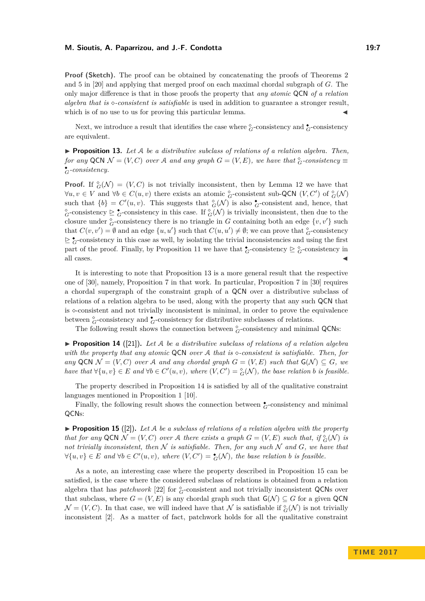**Proof (Sketch).** The proof can be obtained by concatenating the proofs of Theorems 2 and 5 in [\[20\]](#page-16-14) and applying that merged proof on each maximal chordal subgraph of *G*. The only major difference is that in those proofs the property that *any atomic* QCN *of a relation algebra that is -consistent is satisfiable* is used in addition to guarantee a stronger result, which is of no use to us for proving this particular lemma.

Next, we introduce a result that identifies the case where  $^{\circ}_{G}$ -consistency and  $^{\bullet}_{G}$ -consistency are equivalent.

<span id="page-6-0"></span>I **Proposition 13.** *Let* A *be a distributive subclass of relations of a relation algebra. Then, for any* QCN  $\mathcal{N} = (V, C)$  *over* A *and any graph*  $G = (V, E)$ *, we have that*  $^{\circ}_{G}$ *-consistency*  $\equiv$ ◆ *<sup>G</sup>-consistency.*

**Proof.** If  $^{\circ}_{G}(\mathcal{N}) = (V, C)$  is not trivially inconsistent, then by Lemma [12](#page-5-1) we have that  $\forall u, v \in V$  and  $\forall b \in C(u, v)$  there exists an atomic  $^{\circ}_{G}$ -consistent sub-QCN (*V, C'*) of  $^{\circ}_{G}(\mathcal{N})$ such that  ${b} = C'(u, v)$ . This suggests that  $^{\circ}_{G}(\mathcal{N})$  is also  $^{\bullet}_{G}$ -consistent and, hence, that  $^{\diamond}_{G}$ -consistency  $\geq \frac{1}{G}$ -consistency in this case. If  $^{\diamond}_{G}(\mathcal{N})$  is trivially inconsistent, then due to the closure under  ${}_{G}^{\circ}$ -consistency there is no triangle in *G* containing both an edge  $\{v, v'\}$  such that  $C(v, v') = \emptyset$  and an edge  $\{u, u'\}$  such that  $C(u, u') \neq \emptyset$ ; we can prove that  $\frac{\diamond}{G}$ -consistency  $\geq \frac{1}{G}$ -consistency in this case as well, by isolating the trivial inconsistencies and using the first part of the proof. Finally, by Proposition [11](#page-5-2) we have that  $\zeta$ -consistency  $\geq \frac{\delta}{G}$ -consistency in all cases.  $\triangleleft$ 

It is interesting to note that Proposition [13](#page-6-0) is a more general result that the respective one of [\[30\]](#page-16-3), namely, Proposition 7 in that work. In particular, Proposition 7 in [\[30\]](#page-16-3) requires a chordal supergraph of the constraint graph of a QCN over a distributive subclass of relations of a relation algebra to be used, along with the property that any such QCN that is  $\infty$ -consistent and not trivially inconsistent is minimal, in order to prove the equivalence between  $^{\circ}_{G}$ -consistency and  $^{\bullet}_{G}$ -consistency for distributive subclasses of relations.

The following result shows the connection between  $^{\circ}_{G}$ -consistency and minimal QCNs:

<span id="page-6-1"></span>**Proposition 14** ([\[21\]](#page-16-15)). Let A be a distributive subclass of relations of a relation algebra *with the property that any atomic* QCN *over* A *that is -consistent is satisfiable. Then, for any* QCN  $\mathcal{N} = (V, C)$  *over* A *and any chordal graph*  $G = (V, E)$  *such that*  $G(\mathcal{N}) \subseteq G$ *, we have that*  $\forall \{u, v\} \in E$  *and*  $\forall b \in C'(u, v)$ *, where*  $(V, C') = \frac{\diamond}{G}(N)$ *, the base relation b is feasible.* 

The property described in Proposition [14](#page-6-1) is satisfied by all of the qualitative constraint languages mentioned in Proposition [1](#page-3-1) [\[10\]](#page-15-12).

Finally, the following result shows the connection between  $\bullet$ -consistency and minimal QCNs:

<span id="page-6-2"></span>**Proposition 15** ([\[2\]](#page-15-3)). Let A be a subclass of relations of a relation algebra with the property *that for any* QCN  $\mathcal{N} = (V, C)$  *over* A *there exists a graph*  $G = (V, E)$  *such that, if*  $_G^{\circ}(\mathcal{N})$  *is not trivially inconsistent, then*  $N$  *is satisfiable. Then, for any such*  $N$  *and*  $G$ *, we have that*  $\forall \{u, v\} \in E$  and  $\forall b \in C'(u, v)$ , where  $(V, C') = \zeta(\mathcal{N})$ , the base relation *b* is feasible.

As a note, an interesting case where the property described in Proposition [15](#page-6-2) can be satisfied, is the case where the considered subclass of relations is obtained from a relation algebra that has *patchwork* [\[22\]](#page-16-16) for  $^{\circ}_{G}$ -consistent and not trivially inconsistent QCNs over that subclass, where  $G = (V, E)$  is any chordal graph such that  $G(\mathcal{N}) \subseteq G$  for a given QCN  $\mathcal{N} = (V, C)$ . In that case, we will indeed have that  $\mathcal N$  is satisfiable if  $_G^{\circ}(\mathcal N)$  is not trivially inconsistent [\[2\]](#page-15-3). As a matter of fact, patchwork holds for all the qualitative constraint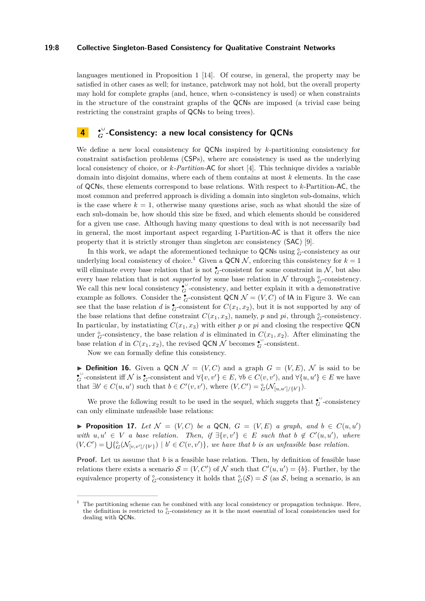### **19:8 Collective Singleton-Based Consistency for Qualitative Constraint Networks**

languages mentioned in Proposition [1](#page-3-1) [\[14\]](#page-15-5). Of course, in general, the property may be satisfied in other cases as well; for instance, patchwork may not hold, but the overall property may hold for complete graphs (and, hence, when  $\infty$ -consistency is used) or when constraints in the structure of the constraint graphs of the QCNs are imposed (a trivial case being restricting the constraint graphs of QCNs to being trees).

#### <span id="page-7-0"></span>**4** ◆ **∪** *G* **-Consistency: a new local consistency for QCNs**

We define a new local consistency for QCNs inspired by *k*-partitioning consistency for constraint satisfaction problems (CSPs), where arc consistency is used as the underlying local consistency of choice, or *k-Partition-*AC for short [\[4\]](#page-15-7). This technique divides a variable domain into disjoint domains, where each of them contains at most *k* elements. In the case of QCNs, these elements correspond to base relations. With respect to *k*-Partition-AC, the most common and preferred approach is dividing a domain into singleton sub-domains, which is the case where  $k = 1$ , otherwise many questions arise, such as what should the size of each sub-domain be, how should this size be fixed, and which elements should be considered for a given use case. Although having many questions to deal with is not necessarily bad in general, the most important aspect regarding 1-Partition-AC is that it offers the nice property that it is strictly stronger than singleton arc consistency (SAC) [\[9\]](#page-15-9).

In this work, we adapt the aforementioned technique to  $QCNs$  using  $^{\diamond}_{G}$ -consistency as our underlying local consistency of choice.<sup>[1](#page-7-1)</sup> Given a QCN  $N$ , enforcing this consistency for  $k = 1$ will eliminate every base relation that is not  $\overset{\bullet}{\mathcal{G}}$ -consistent for some constraint in N, but also every base relation that is not *supported* by some base relation in  $N$  through  $^{\circ}_{G}$ -consistency. We call this new local consistency  $\overset{\bullet}{G}$ -consistency, and better explain it with a demonstrative example as follows. Consider the  $\zeta$ -consistent QCN  $\mathcal{N} = (V, C)$  of IA in Figure [3.](#page-8-0) We can see that the base relation *d* is  $\zeta$ -consistent for  $C(x_1, x_2)$ , but it is not supported by any of the base relations that define constraint  $C(x_1, x_3)$ , namely,  $p$  and  $pi$ , through  $^{\circ}_{G}$ -consistency. In particular, by instatiating  $C(x_1, x_3)$  with either *p* or *pi* and closing the respective QCN under  $^{\circ}_{G}$ -consistency, the base relation *d* is eliminated in  $C(x_1, x_2)$ . After eliminating the base relation *d* in  $C(x_1, x_2)$ , the revised QCN N becomes  $\zeta$ <sup>0</sup>-consistent.

Now we can formally define this consistency.

**Definition 16.** Given a QCN  $\mathcal{N} = (V, C)$  and a graph  $G = (V, E)$ ,  $\mathcal{N}$  is said to be  $G^{\cup}$ -consistent iff N is  $G^{\bullet}$ -consistent and  $\forall \{v, v'\} \in E$ ,  $\forall b \in C(v, v')$ , and  $\forall \{u, u'\} \in E$  we have that  $\exists b' \in C(u, u')$  such that  $b \in C'(v, v')$ , where  $(V, C') = \frac{\delta}{G}(\mathcal{N}_{[u, u'] / \{b'\}})$ .

We prove the following result to be used in the sequel, which suggets that  $\mathcal{C}^{\cup}$ -consistency can only eliminate unfeasible base relations:

<span id="page-7-2"></span>▶ **Proposition 17.** *Let*  $\mathcal{N} = (V, C)$  *be a* QCN,  $G = (V, E)$  *a graph, and*  $b \in C(u, u')$ *with*  $u, u' \in V$  *a base relation. Then, if*  $\exists \{v, v'\} \in E$  *such that*  $b \notin C'(u, u')$ *, where*  $(V, C') = \bigcup \{ {}^{\diamond}_{G}(\mathcal{N}_{[v, v'] / \{b'\}}) \mid b' \in C(v, v') \}$ , we have that *b* is an unfeasible base relation.

**Proof.** Let us assume that *b* is a feasible base relation. Then, by definition of feasible base relations there exists a scenario  $S = (V, C')$  of N such that  $C'(u, u') = \{b\}$ . Further, by the equivalence property of  $^{\circ}_{G}$ -consistency it holds that  $^{\circ}_{G}(\mathcal{S}) = \mathcal{S}$  (as  $\mathcal{S}$ , being a scenario, is an

<span id="page-7-1"></span><sup>1</sup> The partitioning scheme can be combined with any local consistency or propagation technique. Here, the definition is restricted to  $^{\circ}_{G}$ -consistency as it is the most essential of local consistencies used for dealing with QCNs.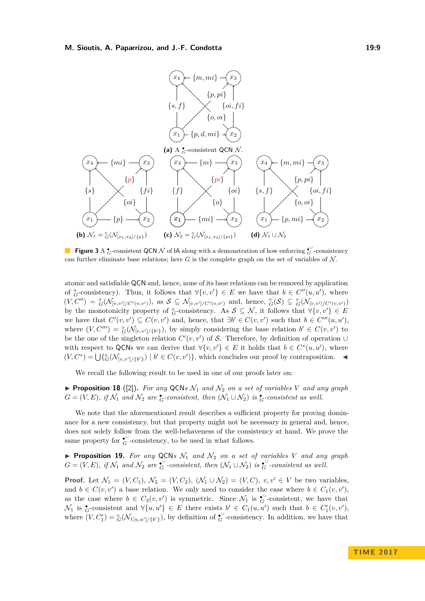<span id="page-8-0"></span>

**Figure 3** A  $^{\bullet}$ -consistent QCN N of IA along with a demonstration of how enforcing  $^{\bullet}$ -consistency can further eliminate base relations; here  $G$  is the complete graph on the set of variables of  $\mathcal N$ .

atomic and satisfiable QCN and, hence, none of its base relations can be removed by application of  ${}_{G}^{\circ}$ -consistency). Thus, it follows that  $\forall \{v, v'\} \in E$  we have that  $b \in C''(u, u')$ , where  $(V, C'') = \frac{\delta}{G}(\mathcal{N}_{[v,v']/C'(v,v')})$ , as  $S \subseteq \mathcal{N}_{[v,v']/C'(v,v')}$  and, hence,  $\frac{\delta}{G}(S) \subseteq \frac{\delta}{G}(\mathcal{N}_{[v,v']/C'(v,v')})$ by the monotonicity property of  ${}_{G}^{\circ}$ -consistency. As  $S \subseteq \mathcal{N}$ , it follows that  $\forall \{v, v'\} \in E$ we have that  $C'(v, v') \subseteq C(v, v')$  and, hence, that  $\exists b' \in C(v, v')$  such that  $b \in C'''(u, u')$ , where  $(V, C''') = \frac{\delta}{G}(\mathcal{N}_{[v,v']/\{b'\}})$ , by simply considering the base relation  $b' \in C(v, v')$  to be the one of the singleton relation  $C'(v, v')$  of S. Therefore, by definition of operation ∪ with respect to QCNs we can derive that  $\forall \{v, v'\} \in E$  it holds that  $b \in C^*(u, u')$ , where  $(V, C^*) = \bigcup \{ {}^{\diamond}_{G}(\mathcal{N}_{[v,v']/\{b'\}}) \mid b' \in C(v, v') \},$  which concludes our proof by contraposition.

We recall the following result to be used in one of our proofs later on:

<span id="page-8-1"></span>**Proposition 18** ([\[2\]](#page-15-3)). For any QCNs  $\mathcal{N}_1$  and  $\mathcal{N}_2$  on a set of variables V and any graph  $G = (V, E)$ , if  $\mathcal{N}_1$  and  $\mathcal{N}_2$  are  $\zeta$ -consistent, then  $(\mathcal{N}_1 \cup \mathcal{N}_2)$  is  $\zeta$ -consistent as well.

We note that the aforementioned result describes a sufficient property for proving dominance for a new consistency, but that property might not be necessary in general and, hence, does not solely follow from the well-behaveness of the consistency at hand. We prove the same property for  $\mathfrak{c}^{\cup}$ -consistency, to be used in what follows.

<span id="page-8-2"></span>**Proposition 19.** For any QCNs  $\mathcal{N}_1$  and  $\mathcal{N}_2$  on a set of variables V and any graph  $G = (V, E)$ , if  $\mathcal{N}_1$  and  $\mathcal{N}_2$  are  $\overset{\bullet}{G}$ -consistent, then  $(\mathcal{N}_1 \cup \mathcal{N}_2)$  is  $\overset{\bullet}{G}$ -consistent as well.

**Proof.** Let  $\mathcal{N}_1 = (V, C_1), \mathcal{N}_2 = (V, C_2), (\mathcal{N}_1 \cup \mathcal{N}_2) = (V, C), v, v' \in V$  be two variables, and  $b \in C(v, v')$  a base relation. We only need to consider the case where  $b \in C_1(v, v')$ , as the case where  $b \in C_2(v, v')$  is symmetric. Since  $\mathcal{N}_1$  is  $\mathcal{C}_G$ -consistent, we have that  $\mathcal{N}_1$  is  $\zeta$ -consistent and  $\forall \{u, u'\} \in E$  there exists  $b' \in C_1(u, u')$  such that  $b \in C'_1(v, v'),$ where  $(V, C'_1) = \frac{\delta}{G}(V_1_{[u, u'] / \{b'\}})$ , by definition of  $\sigma$ -consistency. In addition, we have that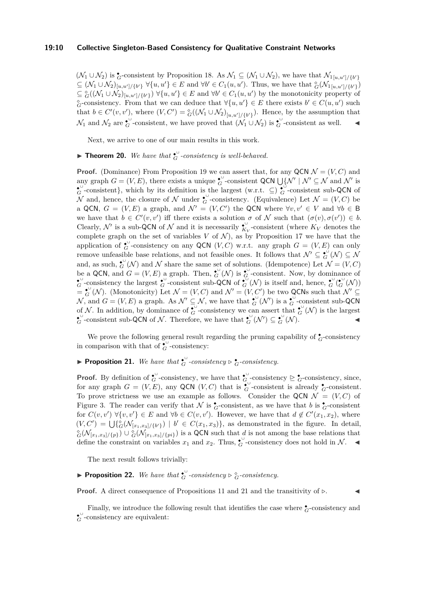$(\mathcal{N}_1 \cup \mathcal{N}_2)$  is  $\zeta$ -consistent by Proposition [18.](#page-8-1) As  $\mathcal{N}_1 \subseteq (\mathcal{N}_1 \cup \mathcal{N}_2)$ , we have that  $\mathcal{N}_{1[u,u]/\{b'\}}$  $\subseteq (\mathcal{N}_1 \cup \mathcal{N}_2)_{[u,u']/\{b'\}} \forall \{u,u'\} \in E$  and  $\forall b' \in C_1(u,u')$ . Thus, we have that  ${}^{\diamond}_{G}(\mathcal{N}_1{}_{[u,u']/\{b'\}})$  $\subseteq$   $^{\circ}_{G}((\mathcal{N}_{1} \cup \mathcal{N}_{2})_{[u,u']/\{b'\}})$   $\forall \{u,u'\} \in E$  and  $\forall b' \in C_{1}(u,u')$  by the monotonicity property of  $G^{\circ}$ -consistency. From that we can deduce that  $\forall \{u, u'\} \in E$  there exists  $b' \in C(u, u')$  such that  $b \in C'(v, v')$ , where  $(V, C') = \frac{\delta}{G}((\mathcal{N}_1 \cup \mathcal{N}_2)_{[u, u'] / \{b'\}})$ . Hence, by the assumption that  $\mathcal{N}_1$  and  $\mathcal{N}_2$  are  $\overset{\bullet}{\mathbf{G}}$ -consistent, we have proved that  $(\overset{\bullet}{\mathcal{N}}_1 \cup \overset{\bullet}{\mathcal{N}}_2)$  is  $\overset{\bullet}{\mathbf{G}}$ -consistent as well. ◄

Next, we arrive to one of our main results in this work.

### **► Theorem 20.** We have that  $_{G}^{\bullet}$ -consistency is well-behaved.

**Proof.** (Dominance) From Proposition [19](#page-8-2) we can assert that, for any QCN  $\mathcal{N} = (V, C)$  and any graph  $G = (V, E)$ , there exists a unique  $\mathcal{C}^{\cup}$ -consistent QCN  $\bigcup \{ \mathcal{N}' \mid \mathcal{N}' \subseteq \mathcal{N} \text{ and } \mathcal{N}' \text{ is }$  $\mathcal{C}^{\cup}$ -consistent}, which by its definition is the largest (w.r.t.  $\subseteq$ )  $\mathcal{C}^{\cup}$ -consistent sub-QCN of N and, hence, the closure of N under  $\mathcal{C}$ -consistency. (Equivalence) Let  $\mathcal{N} = (V, C)$  be a QCN,  $G = (V, E)$  a graph, and  $\mathcal{N}' = (V, C')$  the QCN where  $\forall v, v' \in V$  and  $\forall b \in B$ we have that  $b \in C'(v, v')$  iff there exists a solution  $\sigma$  of N such that  $(\sigma(v), \sigma(v')) \in b$ . Clearly,  $\mathcal{N}'$  is a sub-QCN of  $\mathcal{N}$  and it is necessarily  $\overset{\bullet}{K_V}$ -consistent (where  $K_V$  denotes the complete graph on the set of variables  $V$  of  $\mathcal{N}$ ), as by Proposition [17](#page-7-2) we have that the application of  $_G^{\bullet}$ -consistency on any QCN  $(V, C)$  w.r.t. any graph  $G = (V, E)$  can only remove unfeasible base relations, and not feasible ones. It follows that  $\mathcal{N}' \subseteq \mathcal{L}^{\cup}(\mathcal{N}) \subseteq \mathcal{N}$ and, as such,  $\mathcal{E}^{\cup}(N)$  and N share the same set of solutions. (Idempotence) Let  $\mathcal{N} = (V, C)$ be a QCN, and  $G = (V, E)$  a graph. Then,  $\mathfrak{F}^{\cup}_G(\mathcal{N})$  is  $\mathfrak{F}^{\cup}_G$ -consistent. Now, by dominance of  $G^{\cup}$ -consistency the largest  $G^{\cup}$ -consistent sub-QCN of  $G^{\cup}(\mathcal{N})$  is itself and, hence,  $G^{\cup}(G^{\cup}(\mathcal{N}))$  $=\mathbf{e}^{\cup}_G(\mathcal{N})$ . (Monotonicity) Let  $\mathcal{N}=(V, C)$  and  $\mathcal{N}'=(V, C')$  be two QCNs such that  $\mathcal{N}' \subseteq$  $\mathcal{N}$ , and  $G = (V, E)$  a graph. As  $\mathcal{N}' \subseteq \mathcal{N}$ , we have that  $\mathcal{L}^{\cup}(\mathcal{N}')$  is a  $\mathcal{L}^{\cup}$ -consistent sub-QCN of N. In addition, by dominance of  $\mathcal{C}$ -consistency we can assert that  $\mathcal{C}(\mathcal{N})$  is the largest  $G^{\cup}$ -consistent sub-QCN of N. Therefore, we have that  $G^{\cup}(N') \subseteq G^{\cup}(N)$ .

We prove the following general result regarding the pruning capability of  $\zeta$ -consistency in comparison with that of  $_{G}^{\bullet \cup}$ -consistency:

### <span id="page-9-0"></span>▶ **Proposition 21.** We have that  $\overset{\bullet}{G}$  *-consistency*  $\triangleright$   $\overset{\bullet}{G}$ *-consistency.*

**Proof.** By definition of  $_{G}^{\bullet\circ}$ -consistency, we have that  $_{G}^{\bullet\circ}$ -consistency  $\geq \frac{\bullet}{G}$ -consistency, since, for any graph  $G = (V, E)$ , any QCN  $(V, C)$  that is  $\check{G}$ -consistent is already  $\check{G}$ -consistent. To prove strictness we use an example as follows. Consider the QCN  $\mathcal{N} = (V, C)$  of Figure [3.](#page-8-0) The reader can verify that  $\mathcal N$  is  $\overset{\bullet}{\mathcal G}$ -consistent, as we have that *b* is  $\overset{\bullet}{\mathcal G}$ -consistent for  $C(v, v') \forall \{v, v'\} \in E$  and  $\forall b \in C(v, v')$ . However, we have that  $d \notin C'(x_1, x_2)$ , where  $(V, C') = \bigcup \{ G(\mathcal{N}_{[x_1,x_3]/\{b'\}}) \mid b' \in C(x_1,x_3) \},\$ as demonstrated in the figure. In detail,  $G(G(\mathcal{N}_{[x_1,x_3]/\{p\}}) \cup G(\mathcal{N}_{[x_1,x_3]/\{p\}})$  is a QCN such that *d* is not among the base relations that define the constraint on variables  $x_1$  and  $x_2$ . Thus,  $\mathcal{C}$ -consistency does not hold in N.

The next result follows trivially:

**► Proposition 22.** We have that  $_{G}^{\bullet}$ -consistency  $\triangleright$   $_{G}^{\diamond}$ -consistency.

**Proof.** A direct consequence of Propositions [11](#page-5-2) and [21](#page-9-0) and the transitivity of  $\triangleright$ .

Finally, we introduce the following result that identifies the case where  $\overset{\bullet}{\mathbf{G}}$ -consistency and  $\mathbf{G}^{\cup}$ -consistency are equivalent: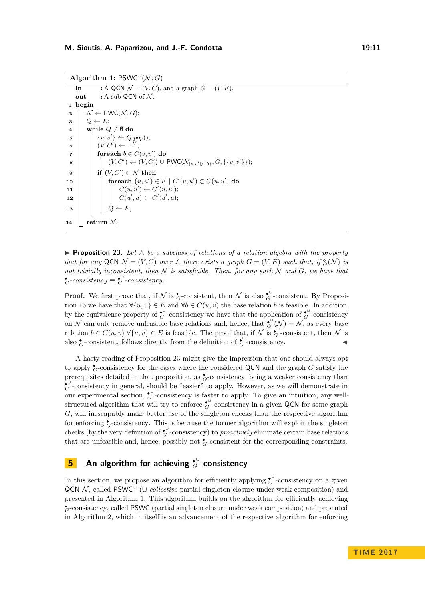**Algorithm 1:** PSWC<sup> $\cup$ </sup> (N, G)

```
in : A QCN \mathcal{N} = (V, C), and a graph G = (V, E).
    out : A sub-QCN of N.
 1 begin
 2 \mid \mathcal{N} \leftarrow \text{PWC}(\mathcal{N}, G);\bullet 3 \bullet Q \leftarrow E;
 4 while Q \neq \emptyset do
  \mathfrak{s} \vert \quad \vert \quad \{v, v'\} \leftarrow Q.pop();\bullet (V, C') \leftarrow \bot^V;\mathbf{r} for each b \in C(v, v') do
  8 \vert \vert \vert (V, C') \leftarrow (V, C') ∪ PWC(\mathcal{N}_{[v, v'] / \{b\}}, G, \{\{v, v'\}\}\};9 \vert if (V, C') \subset \mathcal{N} then
\textbf{10} foreach \{u, u'\} \in E \mid C'(u, u') \subset C(u, u') do
11 \quad | \quad | \quad C(u, u') \leftarrow C'(u, u');12 \mid \cdot \cdot \cdot \cdot \cdot C(u',u) \leftarrow C'(u',u);13 \vert \vert \vert Q \leftarrow E;
14 return N;
```
<span id="page-10-1"></span>▶ **Proposition 23.** Let A be a subclass of relations of a relation algebra with the property *that for any* QCN  $\mathcal{N} = (V, C)$  *over* A *there exists a graph*  $G = (V, E)$  *such that, if*  $_G^{\circ}(\mathcal{N})$  *is not trivially inconsistent, then*  $N$  *is satisfiable. Then, for any such*  $N$  *and*  $G$ *, we have that*  $\stackrel{\bullet}{G}$ *-consistency*.

**Proof.** We first prove that, if  $N$  is  $\overset{\bullet}{G}$ -consistent, then  $N$  is also  $\overset{\bullet}{G}$ -consistent. By Proposi-tion [15](#page-6-2) we have that  $\forall \{u, v\} \in E$  and  $\forall b \in C(u, v)$  the base relation *b* is feasible. In addition, by the equivalence property of  $\overset{\bullet}{G}$ -consistency we have that the application of  $\overset{\bullet}{G}$ -consistency on N can only remove unfeasible base relations and, hence, that  $_G^{\bullet}(\mathcal{N}) = \mathcal{N}$ , as every base relation  $b \in C(u, v)$   $\forall \{u, v\} \in E$  is feasible. The proof that, if N is  $\overset{\bullet}{G}$ -consistent, then N is also  $\zeta$ -consistent, follows directly from the definition of  $\zeta$ <sup>0</sup>-consistency.

A hasty reading of Proposition [23](#page-10-1) might give the impression that one should always opt to apply ◆ *<sup>G</sup>*-consistency for the cases where the considered QCN and the graph *G* satisfy the prerequisites detailed in that proposition, as  $\zeta$ -consistency, being a weaker consistency than  $\mathcal{E}_G^{\cup}$ -consistency in general, should be "easier" to apply. However, as we will demonstrate in our experimental section,  $G^{\cup}$ -consistency is faster to apply. To give an intuition, any wellstructured algorithm that will try to enforce  $\overset{\leftrightarrow}{G}$ -consistency in a given QCN for some graph *G*, will inescapably make better use of the singleton checks than the respective algorithm for enforcing  $\bullet$ -consistency. This is because the former algorithm will exploit the singleton checks (by the very definition of  $_G^{\bullet\cup}$ -consistency) to *proactively* eliminate certain base relations that are unfeasible and, hence, possibly not  $\overset{\bullet}{\mathsf{G}}$ -consistent for the corresponding constraints.

## <span id="page-10-0"></span>**5** An algorithm for achieving  ${}_{G}^{\downarrow\downarrow}$ -consistency

In this section, we propose an algorithm for efficiently applying  $\mathcal{C}^{\cup}$ -consistency on a given QCN N, called PSWC<sup>∪</sup> (∪-collective partial singleton closure under weak composition) and presented in Algorithm [1.](#page-10-2) This algorithm builds on the algorithm for efficiently achieving  $_{G}^{\bullet}$  consistency, called PSWC (partial singleton closure under weak composition) and presented in Algorithm [2,](#page-11-0) which in itself is an advancement of the respective algorithm for enforcing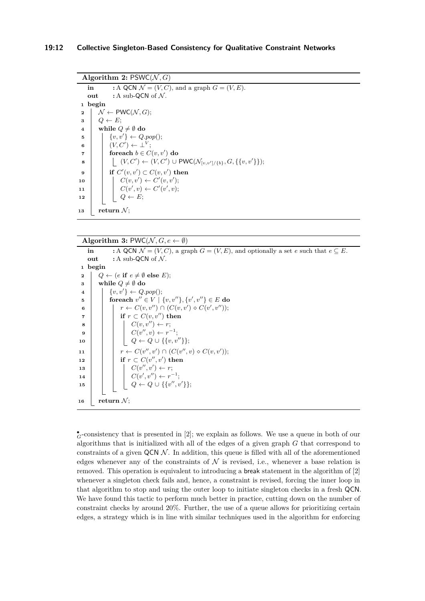```
Algorithm 2: PSWC(N, G)
    in : A QCN \mathcal{N} = (V, C), and a graph G = (V, E).
    out : A sub-QCN of N.
 1 begin
 2 \mid \mathcal{N} \leftarrow \textsf{PWC}(\mathcal{N}, G);3 \vert Q \leftarrow E;
 4 while Q \neq \emptyset do
  \mathfrak{s} \vert \quad \vert \quad \{v, v'\} \leftarrow Q.pop();\begin{array}{|c|c|c|c|c|}\n\hline\n\text{6} & & (V,C') \leftarrow \bot^V; \end{array}\mathbf{r} foreach b \in C(v, v') do
  8 \vert \vert \vert (V, C') \leftarrow (V, C') ∪ PWC(\mathcal{N}_{[v, v']/\{b\}}, G, \{\{v, v'\}\}\};\mathbf{9} \vert if C'(v, v') \subset C(v, v') then
10 \vert \vert C(v, v') \leftarrow C'(v, v');11 \mid C(v', v) \leftarrow C'(v', v);12 \vert \cdot \vert \cdot \vert Q \leftarrow E;13 return \mathcal{N}:
```
**Algorithm 3:** PWC( $N, G, e \leftarrow \emptyset$ )

```
in :A QCN \mathcal{N} = (V, C), a graph G = (V, E), and optionally a set e such that e \subseteq E.
    out : A sub-QCN of N.
 1 begin
 2 Q \leftarrow (e \text{ if } e \neq \emptyset \text{ else } E);3 | while Q \neq \emptyset do
  4 \mid \left\{ v, v' \right\} \leftarrow Q.pop();\mathbf{5} foreach v'' \in V \mid \{v, v''\}, \{v', v''\} \in E do
  \mathfrak{g} \quad | \quad | \quad r \leftarrow C(v,v'') \cap (C(v,v') \diamond C(v',v''));7 i if r \text{ }\subset C(v, v'') then
  8 c | \cdot | c | \cdot | C(v, v'') \leftarrow r;\mathbf{9} | | | C(v'',v) \leftarrow r^{-1};10 Q ← Q ∪ {{v, v00}};
11 r \leftarrow C(v'', v') \cap (C(v'', v) \diamond C(v, v'));\textbf{12} if r \subset C(v'', v') then
13 \mid \cdot \cdot \cdot | \cdot C(v'', v') \leftarrow r;14 | | C(v', v'') \leftarrow r^{-1};\mathbf{15} \begin{array}{|c|c|c|c|c|} \hline \end{array} \begin{array}{|c|c|c|c|c|} \hline Q & \leftarrow Q \cup \{\{v'',v'\}\};\ \end{array}16 return N;
```
◆ *<sup>G</sup>*-consistency that is presented in [\[2\]](#page-15-3); we explain as follows. We use a queue in both of our algorithms that is initialized with all of the edges of a given graph *G* that correspond to constraints of a given  $QCN\mathcal{N}$ . In addition, this queue is filled with all of the aforementioned edges whenever any of the constraints of  $\mathcal N$  is revised, i.e., whenever a base relation is removed. This operation is equivalent to introducing a break statement in the algorithm of [\[2\]](#page-15-3) whenever a singleton check fails and, hence, a constraint is revised, forcing the inner loop in that algorithm to stop and using the outer loop to initiate singleton checks in a fresh QCN. We have found this tactic to perform much better in practice, cutting down on the number of constraint checks by around 20%. Further, the use of a queue allows for prioritizing certain edges, a strategy which is in line with similar techniques used in the algorithm for enforcing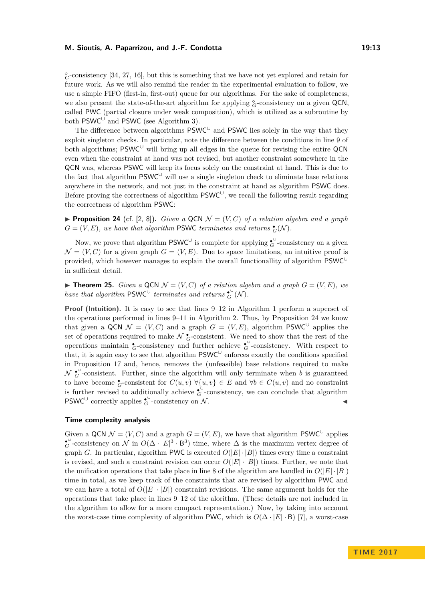*<sup>G</sup>*-consistency [\[34,](#page-16-17) [27,](#page-16-6) [16\]](#page-16-18), but this is something that we have not yet explored and retain for future work. As we will also remind the reader in the experimental evaluation to follow, we use a simple FIFO (first-in, first-out) queue for our algorithms. For the sake of completeness, we also present the state-of-the-art algorithm for applying  $^{\circ}_{G}$ -consistency on a given QCN, called PWC (partial closure under weak composition), which is utilized as a subroutine by both  $PSWC^{\cup}$  and PSWC (see Algorithm [3\)](#page-11-1).

The difference between algorithms  $PSWC^{\cup}$  and PSWC lies solely in the way that they exploit singleton checks. In particular, note the difference between the conditions in line 9 of both algorithms;  $PSWC^{\cup}$  will bring up all edges in the queue for revising the entire QCN even when the constraint at hand was not revised, but another constraint somewhere in the QCN was, whereas PSWC will keep its focus solely on the constraint at hand. This is due to the fact that algorithm PSWC<sup>∪</sup> will use a single singleton check to eliminate base relations anywhere in the network, and not just in the constraint at hand as algorithm PSWC does. Before proving the correctness of algorithm  $\mathsf{PSWC}^\cup$ , we recall the following result regarding the correctness of algorithm PSWC:

<span id="page-12-0"></span>**Proposition 24** (cf. [\[2,](#page-15-3) [8\]](#page-15-6)). *Given a* QCN  $\mathcal{N} = (V, C)$  *of a relation algebra and a graph*  $G = (V, E)$ , we have that algorithm PSWC terminates and returns  $\zeta(\mathcal{N})$ .

Now, we prove that algorithm  $PSWC^{\cup}$  is complete for applying  $\mathcal{L}^{\cup}$ -consistency on a given  $\mathcal{N} = (V, C)$  for a given graph  $G = (V, E)$ . Due to space limitations, an intuitive proof is provided, which however manages to explain the overall functionallity of algorithm PSWC<sup>∪</sup> in sufficient detail.

 $\triangleright$  **Theorem 25.** *Given a* QCN  $\mathcal{N} = (V, C)$  *of a relation algebra and a graph*  $G = (V, E)$ *, we have that algorithm*  $PSWC^{\cup}$  *terminates and returns*  $_{G}^{\bullet\circ}(\mathcal{N})$ *.* 

**Proof (Intuition).** It is easy to see that lines 9–12 in Algorithm [1](#page-10-2) perform a superset of the operations performed in lines 9–11 in Algorithm [2.](#page-11-0) Thus, by Proposition [24](#page-12-0) we know that given a QCN  $\mathcal{N} = (V, C)$  and a graph  $G = (V, E)$ , algorithm PSWC<sup>U</sup> applies the set of operations required to make  $\mathcal{N} \bullet$ -consistent. We need to show that the rest of the operations maintain  $\stackrel{\bullet}{G}$ -consistency and further achieve  $\stackrel{\bullet}{G}$ -consistency. With respect to that, it is again easy to see that algorithm  $PSWC^{\cup}$  enforces exactly the conditions specified in Proposition [17](#page-7-2) and, hence, removes the (unfeasible) base relations required to make  $\mathcal{N}$   $_{G}^{\bullet\circ}$ -consistent. Further, since the algorithm will only terminate when *b* is guaranteed to have become  $\stackrel{\bullet}{G}$ -consistent for  $C(u, v)$   $\forall \{u, v\} \in E$  and  $\forall b \in C(u, v)$  and no constraint is further revised to additionally achieve  $\mathcal{C}^{\cup}$ -consistency, we can conclude that algorithm PSWC<sup>∪</sup> correctly applies  $\overset{\bullet}{G}$ -consistency on N.

### **Time complexity analysis**

Given a QCN  $\mathcal{N} = (V, C)$  and a graph  $G = (V, E)$ , we have that algorithm PSWC<sup>U</sup> applies  $\hat{G}$ -consistency on N in  $O(\Delta \cdot |E|^3 \cdot B^3)$  time, where  $\Delta$  is the maximum vertex degree of graph *G*. In particular, algorithm PWC is executed  $O(|E| \cdot |B|)$  times every time a constraint is revised, and such a constraint revision can occur  $O(|E| \cdot |B|)$  times. Further, we note that the unification operations that take place in line 8 of the algorithm are handled in  $O(|E| \cdot |B|)$ time in total, as we keep track of the constraints that are revised by algorithm PWC and we can have a total of  $O(|E|\cdot|B|)$  constraint revisions. The same argument holds for the operations that take place in lines 9–12 of the alorithm. (These details are not included in the algorithm to allow for a more compact representation.) Now, by taking into account the worst-case time complexity of algorithm PWC, which is  $O(\Delta \cdot |E| \cdot B)$  [\[7\]](#page-15-13), a worst-case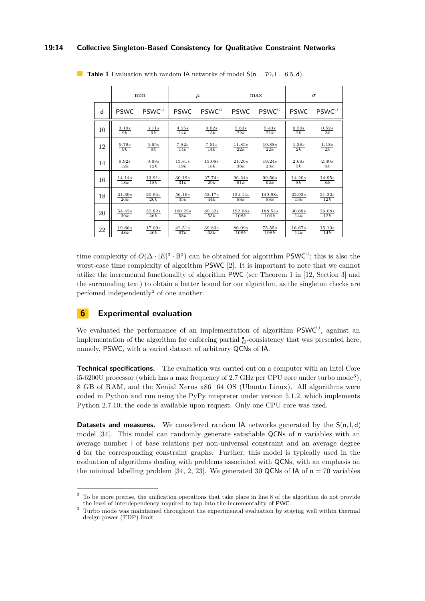### **19:14 Collective Singleton-Based Consistency for Qualitative Constraint Networks**

|    | min             |             | $\mu$                     |               | max                       |                | $\sigma$                 |                    |
|----|-----------------|-------------|---------------------------|---------------|---------------------------|----------------|--------------------------|--------------------|
| d  | <b>PSWC</b>     | PSWC        | <b>PSWC</b>               | $PSWC^{\cup}$ | <b>PSWC</b>               | $PSWC^{\cup}$  | <b>PSWC</b>              | $PSWC^{\cup}$      |
| 10 | 3.19s<br>9k     | 3.11s<br>9k | 4.25s<br>$\overline{14k}$ | 4.02s<br>13k  | 5.63s<br>$\overline{22k}$ | $5.43s$<br>21k | 0.50s<br>$\overline{2k}$ | $\frac{0.52s}{2k}$ |
| 12 | 5.79s           | 5.65s       | 7.82s                     | 7.51s         | 11.85s                    | 10.88s         | 1.38s                    | 1.18s              |
|    | $\overline{9k}$ | 9k          | 14k                       | 14k           | 22k                       | 22k            | $\overline{2k}$          | $\overline{2k}$    |
| 14 | 9.92s           | 9.63s       | 13.81s                    | 13.08s        | 21.26s                    | 19.24s         | 2.68s                    | 2.40s              |
|    | 12k             | 12k         | 19k                       | 18k           | 38k                       | 28k            | $\overline{5k}$          | 4k                 |
| 16 | 14.14s          | 13.91s      | 30.19s                    | 27.74s        | 96.24s                    | 99.56s         | 14.20s                   | 14.95s             |
|    | 18k             | 18k         | 31k                       | 29k           | 61k                       | 62k            | 8k                       | 8k                 |
| 18 | 21.39s          | 20.94s      | 56.16s                    | 53.17s        | 154.14s                   | 149.98s        | 22.92s                   | 21.22s             |
|    | 26k             | 26k         | 45k                       | 44k           | 88k                       | <b>88k</b>     | 13k                      | 12k                |
| 20 | 54.42s          | 52.82s      | 100.22s                   | 89.32s        | 192.68s                   | 188.54s        | 30.68s                   | 26.08s             |
|    | 39k             | 36k         | 58k                       | 55k           | 108k                      | 100k           | 14k                      | 12k                |
| 22 | 19.66s          | 17.09s      | 42.51s                    | 39.83s        | 86.09s                    | 75.55s         | 16.67s                   | 15.19s             |
|    | 48k             | 46k         | 67k                       | 63k           | 108k                      | 108k           | 14k                      | 14k                |

<span id="page-13-3"></span>**Table 1** Evaluation with random IA networks of model  $S(n = 70, l = 6.5, d)$ .

time complexity of  $O(\Delta \cdot |E|^3 \cdot B^3)$  can be obtained for algorithm PSWC<sup>U</sup>; this is also the worst-case time complexity of algorithm PSWC [\[2\]](#page-15-3). It is important to note that we cannot utilize the incremental functionality of algorithm PWC (see Theorem 1 in [\[12,](#page-15-14) Section 3] and the surrounding text) to obtain a better bound for our algorithm, as the singleton checks are perfomed independently<sup>[2](#page-13-1)</sup> of one another.

### <span id="page-13-0"></span>**Experimental evaluation**

We evaluated the performance of an implementation of algorithm PSWC<sup>∪</sup>, against an implementation of the algorithm for enforcing partial  $\zeta$ -consistency that was presented here, namely, PSWC, with a varied dataset of arbitrary QCNs of IA.

**Technical specifications.** The evaluation was carried out on a computer with an Intel Core i5-6200U processor (which has a max frequency of 2.7 GHz per CPU core under turbo mode<sup>[3](#page-13-2)</sup>), 8 GB of RAM, and the Xenial Xerus x86\_64 OS (Ubuntu Linux). All algorithms were coded in Python and run using the PyPy intepreter under version 5.1.2, which implements Python 2.7.10; the code is available upon request. Only one CPU core was used.

**Datasets and measures.** We considered random IA networks generated by the  $S(n, l, d)$ model [\[34\]](#page-16-17). This model can randomly generate satisfiable QCNs of n variables with an average number l of base relations per non-universal constraint and an average degree d for the corresponding constraint graphs. Further, this model is typically used in the evaluation of algorithms dealing with problems associated with QCNs, with an emphasis on the minimal labelling problem [\[34,](#page-16-17) [2,](#page-15-3) [23\]](#page-16-7). We generated 30 QCNs of  $A \cap A = 70$  variables

<span id="page-13-1"></span><sup>&</sup>lt;sup>2</sup> To be more precise, the unification operations that take place in line 8 of the algorithm do not provide the level of interdependency required to tap into the incrementality of PWC.

<span id="page-13-2"></span><sup>&</sup>lt;sup>3</sup> Turbo mode was maintained throughout the experimental evaluation by staying well within thermal design power (TDP) limit.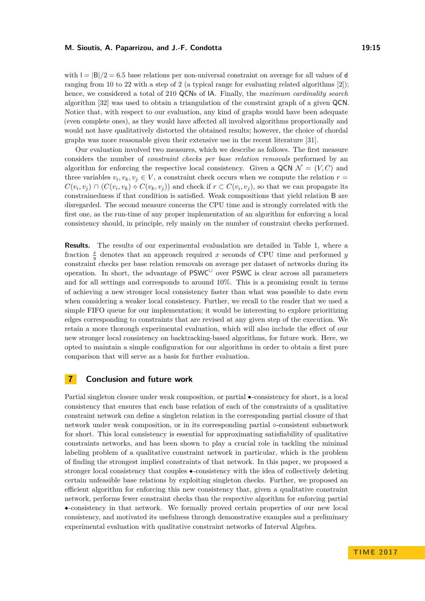with  $| = |B|/2 = 6.5$  base relations per non-universal constraint on average for all values of d ranging from 10 to 22 with a step of 2 (a typical range for evaluating related algorithms [\[2\]](#page-15-3)); hence, we considered a total of 210 QCNs of IA. Finally, the *maximum cardinality search* algorithm [\[32\]](#page-16-19) was used to obtain a triangulation of the constraint graph of a given QCN. Notice that, with respect to our evaluation, any kind of graphs would have been adequate (even complete ones), as they would have affected all involved algorithms proportionally and would not have qualitatively distorted the obtained results; however, the choice of chordal graphs was more reasonable given their extensive use in the recent literature [\[31\]](#page-16-20).

Our evaluation involved two measures, which we describe as follows. The first measure considers the number of *constraint checks per base relation removals* performed by an algorithm for enforcing the respective local consistency. Given a QCN  $\mathcal{N} = (V, C)$  and three variables  $v_i, v_k, v_j \in V$ , a constraint check occurs when we compute the relation  $r =$  $C(v_i, v_j) \cap (C(v_i, v_k) \diamond C(v_k, v_j))$  and check if  $r \subset C(v_i, v_j)$ , so that we can propagate its constrainedness if that condition is satisfied. Weak compositions that yield relation B are disregarded. The second measure concerns the CPU time and is strongly correlated with the first one, as the run-time of any proper implementation of an algorithm for enforcing a local consistency should, in principle, rely mainly on the number of constraint checks performed.

**Results.** The results of our experimental evalualation are detailed in Table [1,](#page-13-3) where a fraction  $\frac{x}{y}$  denotes that an approach required *x* seconds of CPU time and performed *y* constraint checks per base relation removals on average per dataset of networks during its operation. In short, the advantage of  $PSWC^{\cup}$  over PSWC is clear across all parameters and for all settings and corresponds to around 10%. This is a promising result in terms of achieving a new stronger local consistency faster than what was possible to date even when considering a weaker local consistency. Further, we recall to the reader that we used a simple FIFO queue for our implementation; it would be interesting to explore prioritizing edges corresponding to constraints that are revised at any given step of the execution. We retain a more thorough experimental evaluation, which will also include the effect of our new stronger local consistency on backtracking-based algorithms, for future work. Here, we opted to maintain a simple configuration for our algorithms in order to obtain a first pure comparison that will serve as a basis for further evaluation.

### <span id="page-14-0"></span>**7 Conclusion and future work**

Partial singleton closure under weak composition, or partial ◆-consistency for short, is a local consistency that ensures that each base relation of each of the constraints of a qualitative constraint network can define a singleton relation in the corresponding partial closure of that network under weak composition, or in its corresponding partial  $\diamond$ -consistent subnetwork for short. This local consistency is essential for approximating satisfiability of qualitative constraints networks, and has been shown to play a crucial role in tackling the minimal labeling problem of a qualitative constraint network in particular, which is the problem of finding the strongest implied constraints of that network. In this paper, we proposed a stronger local consistency that couples ◆-consistency with the idea of collectively deleting certain unfeasible base relations by exploiting singleton checks. Further, we proposed an efficient algorithm for enforcing this new consistency that, given a qualitative constraint network, performs fewer constraint checks than the respective algorithm for enforcing partial ◆-consistency in that network. We formally proved certain properties of our new local consistency, and motivated its usefulness through demonstrative examples and a preliminary experimental evaluation with qualitative constraint networks of Interval Algebra.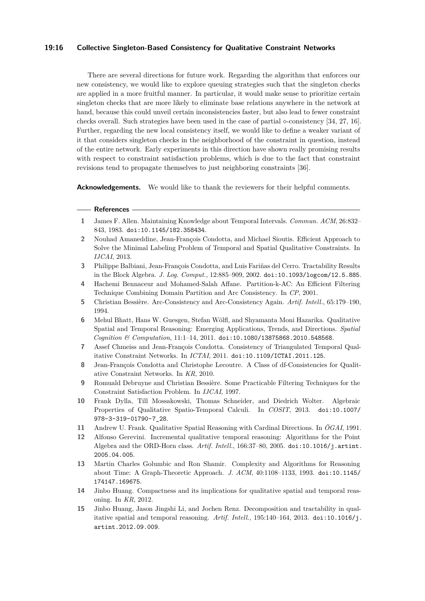### **19:16 Collective Singleton-Based Consistency for Qualitative Constraint Networks**

There are several directions for future work. Regarding the algorithm that enforces our new consistency, we would like to explore queuing strategies such that the singleton checks are applied in a more fruitful manner. In particular, it would make sense to prioritize certain singleton checks that are more likely to eliminate base relations anywhere in the network at hand, because this could unveil certain inconsistencies faster, but also lead to fewer constraint checks overall. Such strategies have been used in the case of partial  $\sim$ -consistency [\[34,](#page-16-17) [27,](#page-16-6) [16\]](#page-16-18). Further, regarding the new local consistency itself, we would like to define a weaker variant of it that considers singleton checks in the neighborhood of the constraint in question, instead of the entire network. Early experiments in this direction have shown really promising results with respect to constraint satisfaction problems, which is due to the fact that constraint revisions tend to propagate themselves to just neighboring constraints [\[36\]](#page-16-21).

**Acknowledgements.** We would like to thank the reviewers for their helpful comments.

#### **References**

- <span id="page-15-1"></span>**1** James F. Allen. Maintaining Knowledge about Temporal Intervals. *Commun. ACM*, 26:832– 843, 1983. [doi:10.1145/182.358434](http://dx.doi.org/10.1145/182.358434).
- <span id="page-15-3"></span>**2** Nouhad Amaneddine, Jean-François Condotta, and Michael Sioutis. Efficient Approach to Solve the Minimal Labeling Problem of Temporal and Spatial Qualitative Constraints. In *IJCAI*, 2013.
- <span id="page-15-11"></span>**3** Philippe Balbiani, Jean-François Condotta, and Luis Fariñas del Cerro. Tractability Results in the Block Algebra. *J. Log. Comput.*, 12:885–909, 2002. [doi:10.1093/logcom/12.5.885](http://dx.doi.org/10.1093/logcom/12.5.885).
- <span id="page-15-7"></span>**4** Hachemi Bennaceur and Mohamed-Salah Affane. Partition-k-AC: An Efficient Filtering Technique Combining Domain Partition and Arc Consistency. In *CP*, 2001.
- <span id="page-15-8"></span>**5** Christian Bessière. Arc-Consistency and Arc-Consistency Again. *Artif. Intell.*, 65:179–190, 1994.
- <span id="page-15-0"></span>**6** Mehul Bhatt, Hans W. Guesgen, Stefan Wölfl, and Shyamanta Moni Hazarika. Qualitative Spatial and Temporal Reasoning: Emerging Applications, Trends, and Directions. *Spatial Cognition & Computation*, 11:1–14, 2011. [doi:10.1080/13875868.2010.548568](http://dx.doi.org/10.1080/13875868.2010.548568).
- <span id="page-15-13"></span>**7** Assef Chmeiss and Jean-François Condotta. Consistency of Triangulated Temporal Qualitative Constraint Networks. In *ICTAI*, 2011. [doi:10.1109/ICTAI.2011.125](http://dx.doi.org/10.1109/ICTAI.2011.125).
- <span id="page-15-6"></span>**8** Jean-François Condotta and Christophe Lecoutre. A Class of df-Consistencies for Qualitative Constraint Networks. In *KR*, 2010.
- <span id="page-15-9"></span>**9** Romuald Debruyne and Christian Bessière. Some Practicable Filtering Techniques for the Constraint Satisfaction Problem. In *IJCAI*, 1997.
- <span id="page-15-12"></span>**10** Frank Dylla, Till Mossakowski, Thomas Schneider, and Diedrich Wolter. Algebraic Properties of Qualitative Spatio-Temporal Calculi. In *COSIT*, 2013. [doi:10.1007/](http://dx.doi.org/10.1007/978-3-319-01790-7_28) [978-3-319-01790-7\\_28](http://dx.doi.org/10.1007/978-3-319-01790-7_28).
- <span id="page-15-10"></span>**11** Andrew U. Frank. Qualitative Spatial Reasoning with Cardinal Directions. In *ÖGAI*, 1991.
- <span id="page-15-14"></span>**12** Alfonso Gerevini. Incremental qualitative temporal reasoning: Algorithms for the Point Algebra and the ORD-Horn class. *Artif. Intell.*, 166:37–80, 2005. [doi:10.1016/j.artint.](http://dx.doi.org/10.1016/j.artint.2005.04.005) [2005.04.005](http://dx.doi.org/10.1016/j.artint.2005.04.005).
- <span id="page-15-2"></span>**13** Martin Charles Golumbic and Ron Shamir. Complexity and Algorithms for Reasoning about Time: A Graph-Theoretic Approach. *J. ACM*, 40:1108–1133, 1993. [doi:10.1145/](http://dx.doi.org/10.1145/174147.169675) [174147.169675](http://dx.doi.org/10.1145/174147.169675).
- <span id="page-15-5"></span>**14** Jinbo Huang. Compactness and its implications for qualitative spatial and temporal reasoning. In *KR*, 2012.
- <span id="page-15-4"></span>**15** Jinbo Huang, Jason Jingshi Li, and Jochen Renz. Decomposition and tractability in qualitative spatial and temporal reasoning. *Artif. Intell.*, 195:140–164, 2013. [doi:10.1016/j.](http://dx.doi.org/10.1016/j.artint.2012.09.009) [artint.2012.09.009](http://dx.doi.org/10.1016/j.artint.2012.09.009).